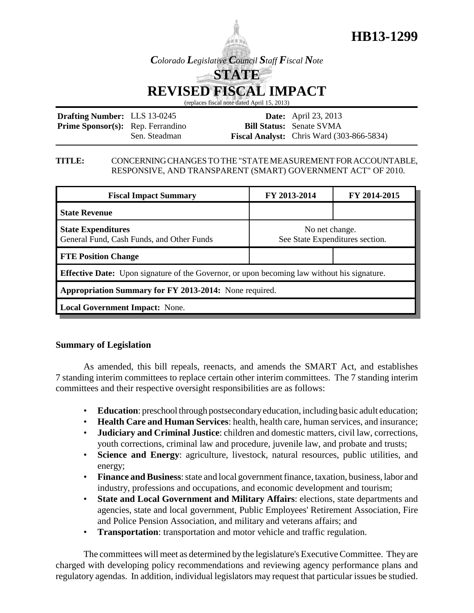

**HB13-1299**

# **REVISED FISCAL IMPACT**

(replaces fiscal note dated April 15, 2013)

| <b>Drafting Number:</b> LLS 13-0245      |               | <b>Date:</b> April 23, 2013                        |
|------------------------------------------|---------------|----------------------------------------------------|
| <b>Prime Sponsor(s):</b> Rep. Ferrandino |               | <b>Bill Status:</b> Senate SVMA                    |
|                                          | Sen. Steadman | <b>Fiscal Analyst:</b> Chris Ward $(303-866-5834)$ |

#### **TITLE:** CONCERNING CHANGES TO THE "STATE MEASUREMENT FOR ACCOUNTABLE, RESPONSIVE, AND TRANSPARENT (SMART) GOVERNMENT ACT" OF 2010.

| <b>Fiscal Impact Summary</b>                                                                       | FY 2013-2014                                      | FY 2014-2015 |  |  |  |
|----------------------------------------------------------------------------------------------------|---------------------------------------------------|--------------|--|--|--|
| <b>State Revenue</b>                                                                               |                                                   |              |  |  |  |
| <b>State Expenditures</b><br>General Fund, Cash Funds, and Other Funds                             | No net change.<br>See State Expenditures section. |              |  |  |  |
| <b>FTE Position Change</b>                                                                         |                                                   |              |  |  |  |
| <b>Effective Date:</b> Upon signature of the Governor, or upon becoming law without his signature. |                                                   |              |  |  |  |
| Appropriation Summary for FY 2013-2014: None required.                                             |                                                   |              |  |  |  |
| <b>Local Government Impact: None.</b>                                                              |                                                   |              |  |  |  |

## **Summary of Legislation**

As amended, this bill repeals, reenacts, and amends the SMART Act, and establishes 7 standing interim committees to replace certain other interim committees. The 7 standing interim committees and their respective oversight responsibilities are as follows:

- **Education**: preschool through postsecondary education, including basic adult education;
- **Health Care and Human Services**: health, health care, human services, and insurance;
- **Judiciary and Criminal Justice**: children and domestic matters, civil law, corrections, youth corrections, criminal law and procedure, juvenile law, and probate and trusts;
- **Science and Energy**: agriculture, livestock, natural resources, public utilities, and energy;
- **Finance and Business**: state and local government finance, taxation, business, labor and industry, professions and occupations, and economic development and tourism;
- **State and Local Government and Military Affairs**: elections, state departments and agencies, state and local government, Public Employees' Retirement Association, Fire and Police Pension Association, and military and veterans affairs; and
- **Transportation**: transportation and motor vehicle and traffic regulation.

The committees will meet as determined by the legislature's Executive Committee. They are charged with developing policy recommendations and reviewing agency performance plans and regulatory agendas. In addition, individual legislators may request that particular issues be studied.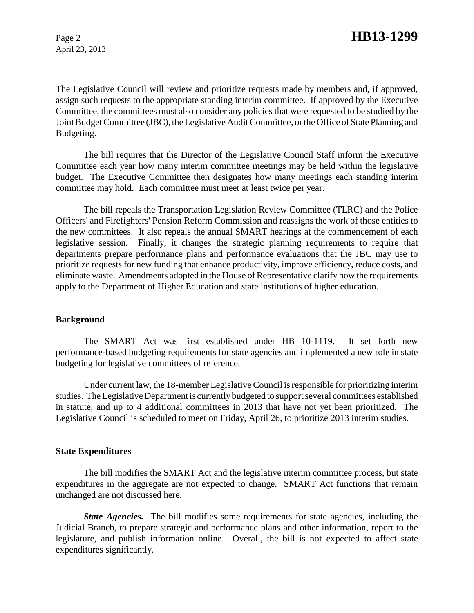April 23, 2013

The Legislative Council will review and prioritize requests made by members and, if approved, assign such requests to the appropriate standing interim committee. If approved by the Executive Committee, the committees must also consider any policies that were requested to be studied by the Joint Budget Committee (JBC), the Legislative Audit Committee, or the Office of State Planning and Budgeting.

The bill requires that the Director of the Legislative Council Staff inform the Executive Committee each year how many interim committee meetings may be held within the legislative budget. The Executive Committee then designates how many meetings each standing interim committee may hold. Each committee must meet at least twice per year.

The bill repeals the Transportation Legislation Review Committee (TLRC) and the Police Officers' and Firefighters' Pension Reform Commission and reassigns the work of those entities to the new committees. It also repeals the annual SMART hearings at the commencement of each legislative session. Finally, it changes the strategic planning requirements to require that departments prepare performance plans and performance evaluations that the JBC may use to prioritize requests for new funding that enhance productivity, improve efficiency, reduce costs, and eliminate waste. Amendments adopted in the House of Representative clarify how the requirements apply to the Department of Higher Education and state institutions of higher education.

### **Background**

The SMART Act was first established under HB 10-1119. It set forth new performance-based budgeting requirements for state agencies and implemented a new role in state budgeting for legislative committees of reference.

Under current law, the 18-member Legislative Council is responsible for prioritizing interim studies. The Legislative Department is currently budgeted to support several committees established in statute, and up to 4 additional committees in 2013 that have not yet been prioritized. The Legislative Council is scheduled to meet on Friday, April 26, to prioritize 2013 interim studies.

### **State Expenditures**

The bill modifies the SMART Act and the legislative interim committee process, but state expenditures in the aggregate are not expected to change. SMART Act functions that remain unchanged are not discussed here.

*State Agencies.* The bill modifies some requirements for state agencies, including the Judicial Branch, to prepare strategic and performance plans and other information, report to the legislature, and publish information online. Overall, the bill is not expected to affect state expenditures significantly.